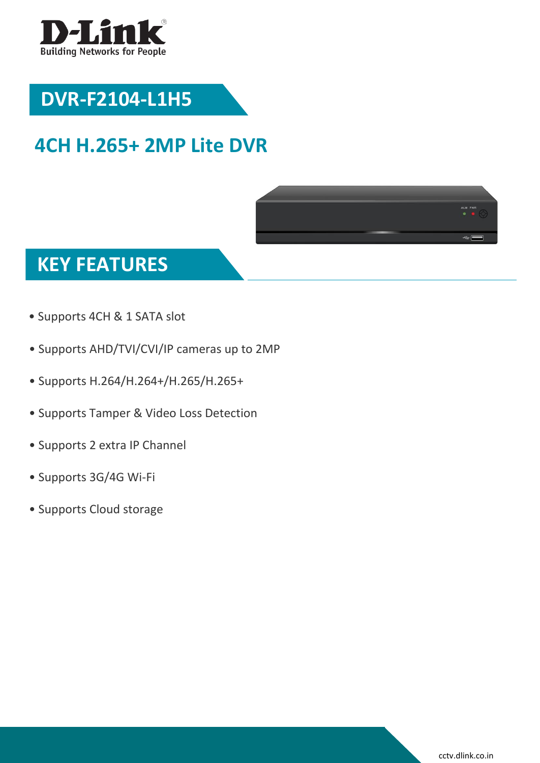

## **DVR-F2104-L1H5**

## **4CH H.265+ 2MP Lite DVR**



### **KEY FEATURES**

- Supports 4CH & 1 SATA slot
- Supports AHD/TVI/CVI/IP cameras up to 2MP
- Supports H.264/H.264+/H.265/H.265+
- Supports Tamper & Video Loss Detection
- Supports 2 extra IP Channel
- Supports 3G/4G Wi-Fi
- Supports Cloud storage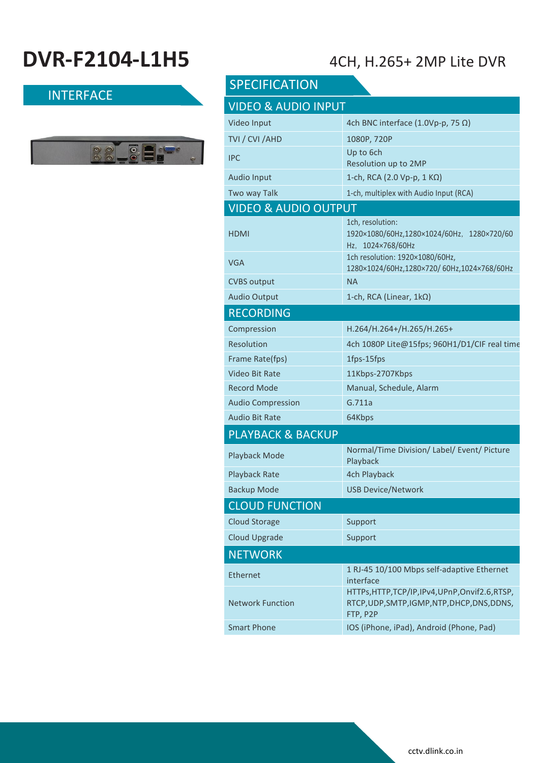# **DVR-F2104-L1H5** 4CH, H.265+ 2MP Lite DVR

**INTERFACE** 



| <b>SPECIFICATION</b>            |                                                                                                              |  |
|---------------------------------|--------------------------------------------------------------------------------------------------------------|--|
| <b>VIDEO &amp; AUDIO INPUT</b>  |                                                                                                              |  |
| Video Input                     | 4ch BNC interface $(1.0Vp-p, 75 \Omega)$                                                                     |  |
| TVI / CVI /AHD                  | 1080P, 720P                                                                                                  |  |
| <b>IPC</b>                      | Up to 6ch<br>Resolution up to 2MP                                                                            |  |
| <b>Audio Input</b>              | 1-ch, RCA (2.0 Vp-p, 1 KΩ)                                                                                   |  |
| Two way Talk                    | 1-ch, multiplex with Audio Input (RCA)                                                                       |  |
| <b>VIDEO &amp; AUDIO OUTPUT</b> |                                                                                                              |  |
| HDMI                            | 1ch, resolution:<br>1920×1080/60Hz,1280×1024/60Hz, 1280×720/60<br>Hz, 1024×768/60Hz                          |  |
| VGA                             | 1ch resolution: 1920×1080/60Hz,<br>1280×1024/60Hz,1280×720/60Hz,1024×768/60Hz                                |  |
| <b>CVBS output</b>              | <b>NA</b>                                                                                                    |  |
| <b>Audio Output</b>             | 1-ch, RCA (Linear, 1kΩ)                                                                                      |  |
| <b>RECORDING</b>                |                                                                                                              |  |
| Compression                     | H.264/H.264+/H.265/H.265+                                                                                    |  |
| <b>Resolution</b>               | 4ch 1080P Lite@15fps; 960H1/D1/CIF real time                                                                 |  |
| Frame Rate(fps)                 | 1fps-15fps                                                                                                   |  |
| <b>Video Bit Rate</b>           | 11Kbps-2707Kbps                                                                                              |  |
| <b>Record Mode</b>              | Manual, Schedule, Alarm                                                                                      |  |
| <b>Audio Compression</b>        | G.711a                                                                                                       |  |
| <b>Audio Bit Rate</b>           | 64Kbps                                                                                                       |  |
| <b>PLAYBACK &amp; BACKUP</b>    |                                                                                                              |  |
| Playback Mode                   | Normal/Time Division/ Label/ Event/ Picture<br>Playback                                                      |  |
| Playback Rate                   | 4ch Playback                                                                                                 |  |
| <b>Backup Mode</b>              | <b>USB Device/Network</b>                                                                                    |  |
| <b>CLOUD FUNCTION</b>           |                                                                                                              |  |
| <b>Cloud Storage</b>            | Support                                                                                                      |  |
| <b>Cloud Upgrade</b>            | Support                                                                                                      |  |
| <b>NETWORK</b>                  |                                                                                                              |  |
| <b>Ethernet</b>                 | 1 RJ-45 10/100 Mbps self-adaptive Ethernet<br>interface                                                      |  |
| <b>Network Function</b>         | HTTPs, HTTP, TCP/IP, IPv4, UPnP, Onvif2.6, RTSP,<br>RTCP, UDP, SMTP, IGMP, NTP, DHCP, DNS, DDNS,<br>FTP, P2P |  |
| <b>Smart Phone</b>              | IOS (iPhone, iPad), Android (Phone, Pad)                                                                     |  |